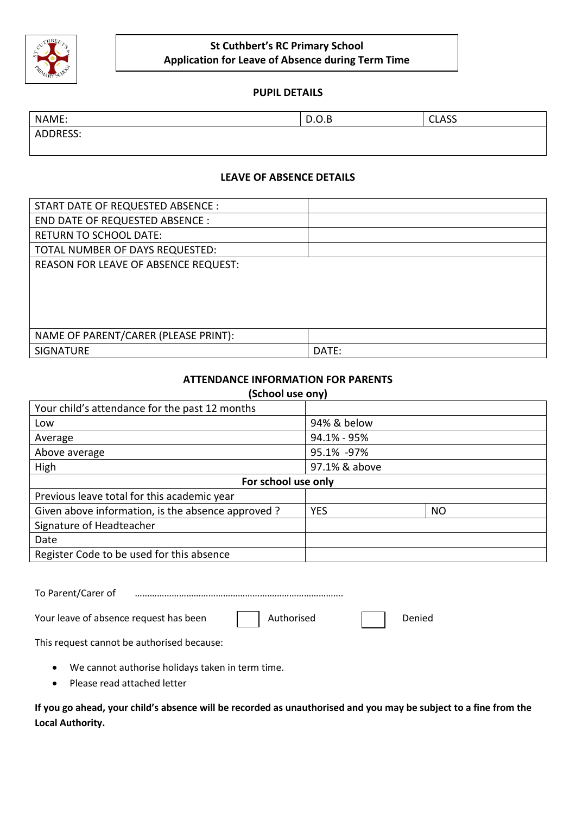

## **St Cuthbert's RC Primary School Application for Leave of Absence during Term Time**

## **PUPIL DETAILS**

| NAME:    | <b>D.O.D</b> | $C1$ $C2$ |
|----------|--------------|-----------|
|          | $\sim$       | ๛๛        |
| ADDRESS: |              |           |

**LEAVE OF ABSENCE DETAILS**

| START DATE OF REQUESTED ABSENCE :    |       |
|--------------------------------------|-------|
| END DATE OF REQUESTED ABSENCE :      |       |
| <b>RETURN TO SCHOOL DATE:</b>        |       |
| TOTAL NUMBER OF DAYS REQUESTED:      |       |
| REASON FOR LEAVE OF ABSENCE REQUEST: |       |
|                                      |       |
|                                      |       |
|                                      |       |
|                                      |       |
| NAME OF PARENT/CARER (PLEASE PRINT): |       |
| <b>SIGNATURE</b>                     | DATE: |

## **ATTENDANCE INFORMATION FOR PARENTS**

| (School use ony)                                  |               |           |  |
|---------------------------------------------------|---------------|-----------|--|
| Your child's attendance for the past 12 months    |               |           |  |
| Low                                               | 94% & below   |           |  |
| Average                                           | 94.1% - 95%   |           |  |
| Above average                                     | 95.1% -97%    |           |  |
| High                                              | 97.1% & above |           |  |
| For school use only                               |               |           |  |
| Previous leave total for this academic year       |               |           |  |
| Given above information, is the absence approved? | <b>YES</b>    | <b>NO</b> |  |
| Signature of Headteacher                          |               |           |  |
| Date                                              |               |           |  |
| Register Code to be used for this absence         |               |           |  |

To Parent/Carer of ………………………………………………………………………….

Your leave of absence request has been  $\Box$  Authorised  $\Box$  Denied

This request cannot be authorised because:

- We cannot authorise holidays taken in term time.
- Please read attached letter

**If you go ahead, your child's absence will be recorded as unauthorised and you may be subject to a fine from the Local Authority.**